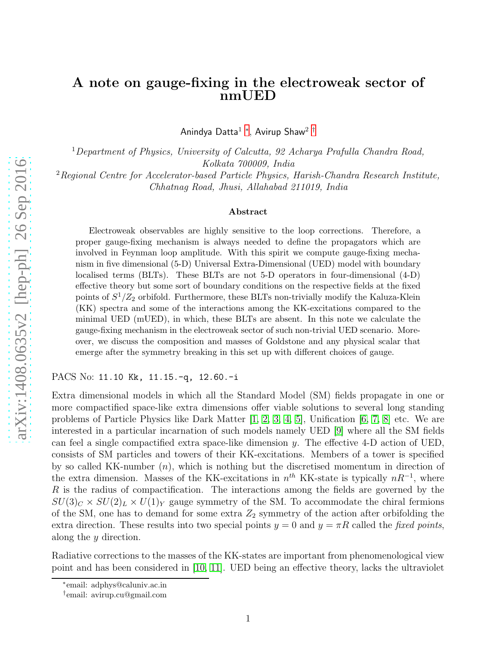## A note on gauge-fixing in the electroweak sector of nmUED

Anindya Datta $^1$  \*, Avirup Shaw $^2$   $^\dagger$ 

<sup>1</sup>Department of Physics, University of Calcutta, 92 Acharya Prafulla Chandra Road, Kolkata 700009, India

 $2$ Regional Centre for Accelerator-based Particle Physics, Harish-Chandra Research Institute, Chhatnag Road, Jhusi, Allahabad 211019, India

## Abstract

Electroweak observables are highly sensitive to the loop corrections. Therefore, a proper gauge-fixing mechanism is always needed to define the propagators which are involved in Feynman loop amplitude. With this spirit we compute gauge-fixing mechanism in five dimensional (5-D) Universal Extra-Dimensional (UED) model with boundary localised terms (BLTs). These BLTs are not 5-D operators in four-dimensional (4-D) effective theory but some sort of boundary conditions on the respective fields at the fixed points of  $S^1/Z_2$  orbifold. Furthermore, these BLTs non-trivially modify the Kaluza-Klein (KK) spectra and some of the interactions among the KK-excitations compared to the minimal UED (mUED), in which, these BLTs are absent. In this note we calculate the gauge-fixing mechanism in the electroweak sector of such non-trivial UED scenario. Moreover, we discuss the composition and masses of Goldstone and any physical scalar that emerge after the symmetry breaking in this set up with different choices of gauge.

PACS No: 11.10 Kk, 11.15.-q, 12.60.-i

Extra dimensional models in which all the Standard Model (SM) fields propagate in one or more compactified space-like extra dimensions offer viable solutions to several long standing problems of Particle Physics like Dark Matter [\[1,](#page-7-0) [2,](#page-7-1) [3,](#page-7-2) [4,](#page-7-3) [5\]](#page-7-4), Unification [\[6,](#page-7-5) [7,](#page-7-6) [8\]](#page-7-7) etc. We are interested in a particular incarnation of such models namely UED [\[9\]](#page-7-8) where all the SM fields can feel a single compactified extra space-like dimension y. The effective 4-D action of UED, consists of SM particles and towers of their KK-excitations. Members of a tower is specified by so called KK-number  $(n)$ , which is nothing but the discretised momentum in direction of the extra dimension. Masses of the KK-excitations in  $n^{th}$  KK-state is typically  $nR^{-1}$ , where  $R$  is the radius of compactification. The interactions among the fields are governed by the  $SU(3)_C \times SU(2)_L \times U(1)_Y$  gauge symmetry of the SM. To accommodate the chiral fermions of the SM, one has to demand for some extra  $Z_2$  symmetry of the action after orbifolding the extra direction. These results into two special points  $y = 0$  and  $y = \pi R$  called the fixed points, along the y direction.

Radiative corrections to the masses of the KK-states are important from phenomenological view point and has been considered in [\[10,](#page-7-9) [11\]](#page-7-10). UED being an effective theory, lacks the ultraviolet

<sup>∗</sup> email: adphys@caluniv.ac.in

<span id="page-0-1"></span><span id="page-0-0"></span><sup>†</sup> email: avirup.cu@gmail.com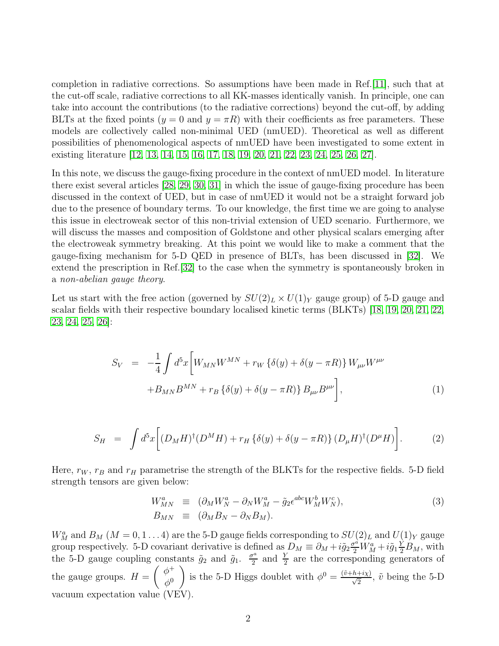completion in radiative corrections. So assumptions have been made in Ref.[\[11\]](#page-7-10), such that at the cut-off scale, radiative corrections to all KK-masses identically vanish. In principle, one can take into account the contributions (to the radiative corrections) beyond the cut-off, by adding BLTs at the fixed points  $(y = 0 \text{ and } y = \pi R)$  with their coefficients as free parameters. These models are collectively called non-minimal UED (nmUED). Theoretical as well as different possibilities of phenomenological aspects of nmUED have been investigated to some extent in existing literature [\[12,](#page-7-11) [13,](#page-7-12) [14,](#page-7-13) [15,](#page-7-14) [16,](#page-7-15) [17,](#page-7-16) [18,](#page-7-17) [19,](#page-8-0) [20,](#page-8-1) [21,](#page-8-2) [22,](#page-8-3) [23,](#page-8-4) [24,](#page-8-5) [25,](#page-8-6) [26,](#page-8-7) [27\]](#page-8-8).

In this note, we discuss the gauge-fixing procedure in the context of nmUED model. In literature there exist several articles [\[28,](#page-8-9) [29,](#page-8-10) [30,](#page-8-11) [31\]](#page-8-12) in which the issue of gauge-fixing procedure has been discussed in the context of UED, but in case of nmUED it would not be a straight forward job due to the presence of boundary terms. To our knowledge, the first time we are going to analyse this issue in electroweak sector of this non-trivial extension of UED scenario. Furthermore, we will discuss the masses and composition of Goldstone and other physical scalars emerging after the electroweak symmetry breaking. At this point we would like to make a comment that the gauge-fixing mechanism for 5-D QED in presence of BLTs, has been discussed in [\[32\]](#page-8-13). We extend the prescription in Ref.[\[32\]](#page-8-13) to the case when the symmetry is spontaneously broken in a non-abelian gauge theory.

Let us start with the free action (governed by  $SU(2)_L \times U(1)_Y$  gauge group) of 5-D gauge and scalar fields with their respective boundary localised kinetic terms (BLKTs) [\[18,](#page-7-17) [19,](#page-8-0) [20,](#page-8-1) [21,](#page-8-2) [22,](#page-8-3) [23,](#page-8-4) [24,](#page-8-5) [25,](#page-8-6) [26\]](#page-8-7):

<span id="page-1-0"></span>
$$
S_V = -\frac{1}{4} \int d^5x \bigg[ W_{MN} W^{MN} + r_W \{ \delta(y) + \delta(y - \pi R) \} W_{\mu\nu} W^{\mu\nu} + B_{MN} B^{MN} + r_B \{ \delta(y) + \delta(y - \pi R) \} B_{\mu\nu} B^{\mu\nu} \bigg],
$$
\n(1)

<span id="page-1-1"></span>
$$
S_H = \int d^5x \bigg[ (D_M H)^\dagger (D^M H) + r_H \left\{ \delta(y) + \delta(y - \pi R) \right\} (D_\mu H)^\dagger (D^\mu H) \bigg]. \tag{2}
$$

Here,  $r_W$ ,  $r_B$  and  $r_H$  parametrise the strength of the BLKTs for the respective fields. 5-D field strength tensors are given below:

$$
W_{MN}^a \equiv (\partial_M W_N^a - \partial_N W_M^a - \tilde{g}_2 \epsilon^{abc} W_M^b W_N^c),
$$
  
\n
$$
B_{MN} \equiv (\partial_M B_N - \partial_N B_M).
$$
\n(3)

 $W_M^a$  and  $B_M$  ( $M = 0, 1...4$ ) are the 5-D gauge fields corresponding to  $SU(2)_L$  and  $U(1)_Y$  gauge group respectively. 5-D covariant derivative is defined as  $D_M \equiv \partial_M + i\tilde{g}_2 \frac{\sigma^2}{2} W_M^a + i\tilde{g}_1 \frac{\dot{Y}}{2} B_M$ , with the 5-D gauge coupling constants  $\tilde{g}_2$  and  $\tilde{g}_1$ .  $\frac{\sigma^a}{2}$  $\frac{\tau^a}{2}$  and  $\frac{Y}{2}$  are the corresponding generators of the gauge groups.  $H = \begin{pmatrix} \phi^+ \\ \phi^- \end{pmatrix}$  $\phi^0$ ) is the 5-D Higgs doublet with  $\phi^0 = \frac{(\tilde{v}+h+i\chi)}{\sqrt{2}}$ ,  $\tilde{v}$  being the 5-D vacuum expectation value (VEV).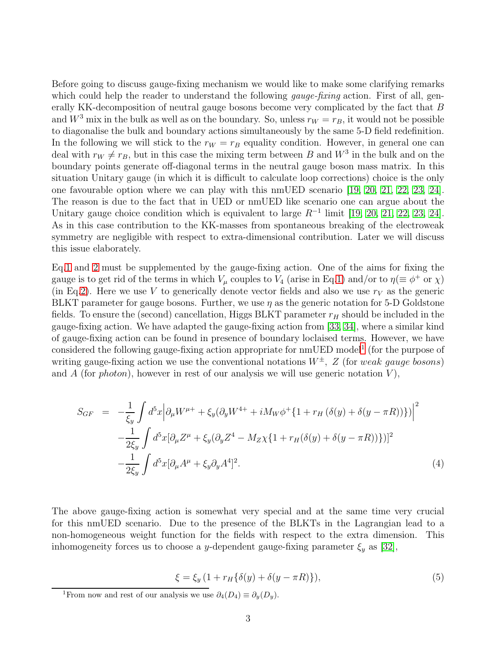Before going to discuss gauge-fixing mechanism we would like to make some clarifying remarks which could help the reader to understand the following *gauge-fixing* action. First of all, generally KK-decomposition of neutral gauge bosons become very complicated by the fact that B and  $W^3$  mix in the bulk as well as on the boundary. So, unless  $r_W = r_B$ , it would not be possible to diagonalise the bulk and boundary actions simultaneously by the same 5-D field redefinition. In the following we will stick to the  $r_W = r_B$  equality condition. However, in general one can deal with  $r_W \neq r_B$ , but in this case the mixing term between B and  $W^3$  in the bulk and on the boundary points generate off-diagonal terms in the neutral gauge boson mass matrix. In this situation Unitary gauge (in which it is difficult to calculate loop corrections) choice is the only one favourable option where we can play with this nmUED scenario [\[19,](#page-8-0) [20,](#page-8-1) [21,](#page-8-2) [22,](#page-8-3) [23,](#page-8-4) [24\]](#page-8-5). The reason is due to the fact that in UED or nmUED like scenario one can argue about the Unitary gauge choice condition which is equivalent to large  $R^{-1}$  limit [\[19,](#page-8-0) [20,](#page-8-1) [21,](#page-8-2) [22,](#page-8-3) [23,](#page-8-4) [24\]](#page-8-5). As in this case contribution to the KK-masses from spontaneous breaking of the electroweak symmetry are negligible with respect to extra-dimensional contribution. Later we will discuss this issue elaborately.

Eq[.1](#page-1-0) and [2](#page-1-1) must be supplemented by the gauge-fixing action. One of the aims for fixing the gauge is to get rid of the terms in which  $V_\mu$  couples to  $V_4$  (arise in Eq[.1\)](#page-1-0) and/or to  $\eta (\equiv \phi^+$  or  $\chi$ ) (in Eq[.2\)](#page-1-1). Here we use V to generically denote vector fields and also we use  $r_V$  as the generic BLKT parameter for gauge bosons. Further, we use  $\eta$  as the generic notation for 5-D Goldstone fields. To ensure the (second) cancellation, Higgs BLKT parameter  $r_H$  should be included in the gauge-fixing action. We have adapted the gauge-fixing action from [\[33,](#page-8-14) [34\]](#page-8-15), where a similar kind of gauge-fixing action can be found in presence of boundary loclaised terms. However, we have considered the following gauge-fixing action appropriate for  $nmUED \text{ model}^1$  $nmUED \text{ model}^1$  (for the purpose of writing gauge-fixing action we use the conventional notations  $W^{\pm}$ , Z (for weak gauge bosons) and A (for *photon*), however in rest of our analysis we will use generic notation  $V$ ),

<span id="page-2-1"></span>
$$
S_{GF} = -\frac{1}{\xi_{y}} \int d^{5}x \Big| \partial_{\mu} W^{\mu+} + \xi_{y} (\partial_{y} W^{4+} + i M_{W} \phi^{+} \{ 1 + r_{H} (\delta(y) + \delta(y - \pi R)) \} ) \Big|^{2}
$$
  

$$
- \frac{1}{2\xi_{y}} \int d^{5}x [\partial_{\mu} Z^{\mu} + \xi_{y} (\partial_{y} Z^{4} - M_{Z} \chi \{ 1 + r_{H} (\delta(y) + \delta(y - \pi R)) \} )]^{2}
$$
  

$$
- \frac{1}{2\xi_{y}} \int d^{5}x [\partial_{\mu} A^{\mu} + \xi_{y} \partial_{y} A^{4}]^{2}.
$$
 (4)

The above gauge-fixing action is somewhat very special and at the same time very crucial for this nmUED scenario. Due to the presence of the BLKTs in the Lagrangian lead to a non-homogeneous weight function for the fields with respect to the extra dimension. This inhomogeneity forces us to choose a y-dependent gauge-fixing parameter  $\xi_y$  as [\[32\]](#page-8-13),

$$
\xi = \xi_y \left( 1 + r_H \{ \delta(y) + \delta(y - \pi R) \} \right),\tag{5}
$$

<span id="page-2-0"></span><sup>&</sup>lt;sup>1</sup>From now and rest of our analysis we use  $\partial_4(D_4) \equiv \partial_4(D_4)$ .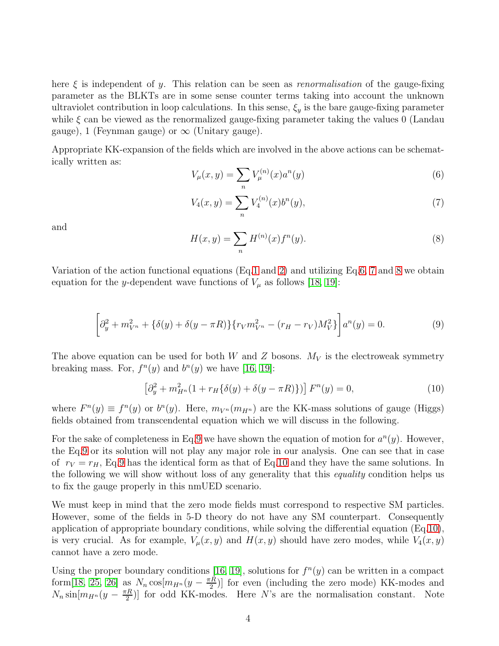here  $\xi$  is independent of y. This relation can be seen as *renormalisation* of the gauge-fixing parameter as the BLKTs are in some sense counter terms taking into account the unknown ultraviolet contribution in loop calculations. In this sense,  $\xi_y$  is the bare gauge-fixing parameter while  $\xi$  can be viewed as the renormalized gauge-fixing parameter taking the values 0 (Landau gauge), 1 (Feynman gauge) or  $\infty$  (Unitary gauge).

Appropriate KK-expansion of the fields which are involved in the above actions can be schematically written as:

<span id="page-3-0"></span>
$$
V_{\mu}(x,y) = \sum_{n} V_{\mu}^{(n)}(x) a^{n}(y)
$$
\n(6)

<span id="page-3-1"></span>
$$
V_4(x,y) = \sum_{n} V_4^{(n)}(x)b^n(y),\tag{7}
$$

and

<span id="page-3-2"></span>
$$
H(x, y) = \sum_{n} H^{(n)}(x) f^{n}(y).
$$
 (8)

Variation of the action functional equations (Eq[.1](#page-1-0) and [2\)](#page-1-1) and utilizing Eq[.6,](#page-3-0) [7](#page-3-1) and [8](#page-3-2) we obtain equation for the y-dependent wave functions of  $V_{\mu}$  as follows [\[18,](#page-7-17) [19\]](#page-8-0):

<span id="page-3-3"></span>
$$
\left[\partial_y^2 + m_{V^n}^2 + \{\delta(y) + \delta(y - \pi R)\} \{r_V m_{V^n}^2 - (r_H - r_V) M_V^2\} \right] a^n(y) = 0. \tag{9}
$$

The above equation can be used for both W and Z bosons.  $M_V$  is the electroweak symmetry breaking mass. For,  $f^{n}(y)$  and  $b^{n}(y)$  we have [\[16,](#page-7-15) [19\]](#page-8-0):

<span id="page-3-4"></span>
$$
\left[\partial_y^2 + m_{H^n}^2 (1 + r_H \{\delta(y) + \delta(y - \pi R)\})\right] F^n(y) = 0,
$$
\n(10)

where  $F^{n}(y) \equiv f^{n}(y)$  or  $b^{n}(y)$ . Here,  $m_{V^{n}}(m_{H^{n}})$  are the KK-mass solutions of gauge (Higgs) fields obtained from transcendental equation which we will discuss in the following.

For the sake of completeness in Eq[.9](#page-3-3) we have shown the equation of motion for  $a^n(y)$ . However, the Eq[.9](#page-3-3) or its solution will not play any major role in our analysis. One can see that in case of  $r_V = r_H$ , Eq[.9](#page-3-3) has the identical form as that of Eq[.10](#page-3-4) and they have the same solutions. In the following we will show without loss of any generality that this *equality* condition helps us to fix the gauge properly in this nmUED scenario.

We must keep in mind that the zero mode fields must correspond to respective SM particles. However, some of the fields in 5-D theory do not have any SM counterpart. Consequently application of appropriate boundary conditions, while solving the differential equation (Eq[.10\)](#page-3-4), is very crucial. As for example,  $V_\mu(x, y)$  and  $H(x, y)$  should have zero modes, while  $V_4(x, y)$ cannot have a zero mode.

Using the proper boundary conditions [\[16,](#page-7-15) [19\]](#page-8-0), solutions for  $f^{n}(y)$  can be written in a compact form[\[18,](#page-7-17) [25,](#page-8-6) [26\]](#page-8-7) as  $N_n \cos[m_{H^n}(y - \frac{\pi R}{2}]]$  $\frac{1}{2}$ [EV] for even (including the zero mode) KK-modes and  $N_n \sin[m_{H^n}(y - \frac{\pi R}{2})]$  $\frac{1}{2}$ [Ee also dd KK-modes. Here N's are the normalisation constant. Note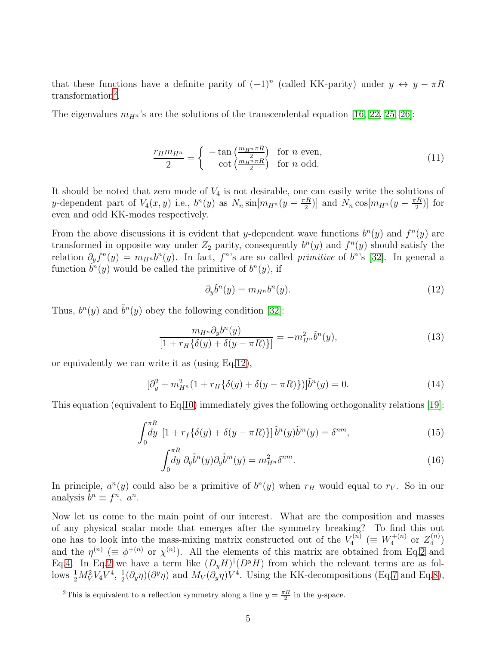that these functions have a definite parity of  $(-1)^n$  (called KK-parity) under  $y \leftrightarrow y - \pi R$ transformation<sup>[2](#page-4-0)</sup>.

The eigenvalues  $m_{H_n}$ 's are the solutions of the transcendental equation [\[16,](#page-7-15) [22,](#page-8-3) [25,](#page-8-6) [26\]](#page-8-7):

<span id="page-4-4"></span>
$$
\frac{r_H m_{H^n}}{2} = \begin{cases}\n-\tan\left(\frac{m_{H^n} \pi R}{2}\right) & \text{for } n \text{ even,} \\
\cot\left(\frac{m_{H^n} \pi R}{2}\right) & \text{for } n \text{ odd.} \n\end{cases}
$$
\n(11)

It should be noted that zero mode of  $V_4$  is not desirable, one can easily write the solutions of y-dependent part of  $V_4(x, y)$  i.e.,  $b^n(y)$  as  $N_n \sin[m_{H^n}(y - \frac{\pi R}{2}]]$  $\frac{1}{2}$ )] and  $N_n \cos[m_{H^n}(y - \frac{\pi R}{2}]]$  $\frac{1}{2}$ ] for even and odd KK-modes respectively.

From the above discussions it is evident that y-dependent wave functions  $b^{n}(y)$  and  $f^{n}(y)$  are transformed in opposite way under  $Z_2$  parity, consequently  $b^n(y)$  and  $f^n(y)$  should satisfy the relation  $\partial_y f^n(y) = m_{H^n} b^n(y)$ . In fact,  $f^n$ 's are so called *primitive* of  $b^n$ 's [\[32\]](#page-8-13). In general a function  $\tilde{b}^n(y)$  would be called the primitive of  $b^n(y)$ , if

<span id="page-4-1"></span>
$$
\partial_y \tilde{b}^n(y) = m_{H^n} b^n(y). \tag{12}
$$

Thus,  $b^n(y)$  and  $\tilde{b}^n(y)$  obey the following condition [\[32\]](#page-8-13):

<span id="page-4-3"></span>
$$
\frac{m_{H^n}\partial_y b^n(y)}{[1 + r_H\{\delta(y) + \delta(y - \pi R)\}]} = -m_{H^n}^2 \tilde{b}^n(y),\tag{13}
$$

or equivalently we can write it as (using Eq[.12\)](#page-4-1),

$$
[\partial_y^2 + m_{H^n}^2 (1 + r_H \{\delta(y) + \delta(y - \pi R)\})]\tilde{b}^n(y) = 0.
$$
 (14)

This equation (equivalent to Eq[.10\)](#page-3-4) immediately gives the following orthogonality relations [\[19\]](#page-8-0):

<span id="page-4-2"></span>
$$
\int_0^{\pi R} \left[1 + r_f \{\delta(y) + \delta(y - \pi R)\}\right] \tilde{b}^n(y) \tilde{b}^m(y) = \delta^{nm},\tag{15}
$$

$$
\int_0^{\pi R} dy \, \partial_y \tilde{b}^n(y) \partial_y \tilde{b}^m(y) = m_{H^n}^2 \delta^{nm}.
$$
\n(16)

In principle,  $a^n(y)$  could also be a primitive of  $b^n(y)$  when  $r_H$  would equal to  $r_V$ . So in our analysis  $\tilde{b}^n \equiv f^n, a^n$ .

Now let us come to the main point of our interest. What are the composition and masses of any physical scalar mode that emerges after the symmetry breaking? To find this out one has to look into the mass-mixing matrix constructed out of the  $V_4^{(n)}$  $\zeta_4^{(\vec{n})} \ (\equiv W_4^{+(n)}$  $Z_4^{(n)}$  or  $Z_4^{(n)}$  $\binom{n}{4}$ and the  $\eta^{(n)} \ (\equiv \phi^{+(n)} \text{ or } \chi^{(n)})$ . All the elements of this matrix are obtained from Eq[.2](#page-1-1) and Eq[.4.](#page-2-1) In Eq[.2](#page-1-1) we have a term like  $(D_yH)^{\dagger}(D^yH)$  from which the relevant terms are as follows  $\frac{1}{2}M_V^2V_4V^4$ ,  $\frac{1}{2}$  $\frac{1}{2}(\partial_y \eta)(\partial^y \eta)$  and  $M_V(\partial_y \eta)V^4$ . Using the KK-decompositions (Eq[.7](#page-3-1) and Eq[.8\)](#page-3-2),

<span id="page-4-0"></span><sup>&</sup>lt;sup>2</sup>This is equivalent to a reflection symmetry along a line  $y = \frac{\pi R}{2}$  in the *y*-space.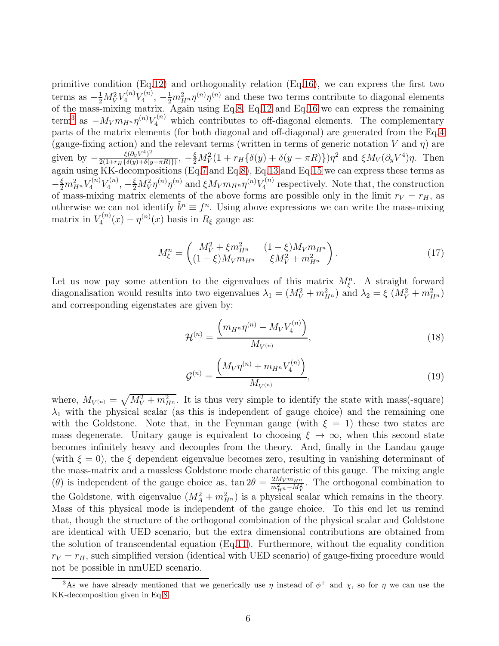primitive condition (Eq[.12\)](#page-4-1) and orthogonality relation (Eq[.16\)](#page-4-2), we can express the first two terms as  $-\frac{1}{2}M_V^2V_4^{(n)}V_4^{(n)}$  $\mathcal{L}_4^{(n)}$ ,  $-\frac{1}{2}m_{H^n}^2 \eta^{(n)}\eta^{(n)}$  and these two terms contribute to diagonal elements of the mass-mixing matrix. Again using Eq[.8,](#page-3-2) Eq[.12](#page-4-1) and Eq[.16](#page-4-2) we can express the remaining term<sup>[3](#page-5-0)</sup> as  $-M_V m_{H^n} \eta^{(n)} V_4^{(n)}$  which contributes to off-diagonal elements. The complementary parts of the matrix elements (for both diagonal and off-diagonal) are generated from the Eq[.4](#page-2-1) (gauge-fixing action) and the relevant terms (written in terms of generic notation V and  $\eta$ ) are given by  $-\frac{\xi(\partial_y V^4)^2}{2(1+r_v\sqrt{\delta(u)}+\delta(u)))}$  $\frac{\xi(\partial_y V^4)^2}{2(1+r_H\{\delta(y)+\delta(y-\pi R)\})},\ -\frac{\xi}{2}M_V^2(1+r_H\{\delta(y)+\delta(y-\pi R)\})\eta^2$  and  $\xi M_V(\partial_y V^4)\eta$ . Then again using KK-decompositions (Eq[.7](#page-3-1) and Eq[.8\)](#page-3-2), Eq[.13](#page-4-3) and Eq[.15](#page-4-2) we can express these terms as  $-\frac{\xi}{2}m_{H^n}^2 V_4^{(n)} V_4^{(n)}$  $K_4^{(n)}, -\frac{\xi}{2} M_V^2 \eta^{(n)} \eta^{(n)}$  and  $\xi M_V m_{H^n} \eta^{(n)} V_4^{(n)}$  $Y_4^{(n)}$  respectively. Note that, the construction of mass-mixing matrix elements of the above forms are possible only in the limit  $r_V = r_H$ , as otherwise we can not identify  $\tilde{b}^n \equiv f^n$ . Using above expressions we can write the mass-mixing matrix in  $V_4^{(n)}$  $\eta_4^{(n)}(x) - \eta^{(n)}(x)$  basis in  $R_\xi$  gauge as:

$$
M_{\xi}^{n} = \begin{pmatrix} M_{V}^{2} + \xi m_{H^{n}}^{2} & (1 - \xi) M_{V} m_{H^{n}} \\ (1 - \xi) M_{V} m_{H^{n}} & \xi M_{V}^{2} + m_{H^{n}}^{2} \end{pmatrix}.
$$
 (17)

Let us now pay some attention to the eigenvalues of this matrix  $M_{\xi}^{n}$ . A straight forward diagonalisation would results into two eigenvalues  $\lambda_1 = (M_V^2 + m_{H^n}^2)$  and  $\lambda_2 = \xi (M_V^2 + m_{H^n}^2)$ and corresponding eigenstates are given by:

<span id="page-5-2"></span>
$$
\mathcal{H}^{(n)} = \frac{\left(m_{H^n} \eta^{(n)} - M_V V_4^{(n)}\right)}{M_{V^{(n)}}},\tag{18}
$$

<span id="page-5-1"></span>
$$
\mathcal{G}^{(n)} = \frac{\left(M_V \eta^{(n)} + m_{H^n} V_4^{(n)}\right)}{M_{V^{(n)}}},\tag{19}
$$

where,  $M_{V^{(n)}} = \sqrt{M_V^2 + m_{H^n}^2}$ . It is thus very simple to identify the state with mass(-square)  $\lambda_1$  with the physical scalar (as this is independent of gauge choice) and the remaining one with the Goldstone. Note that, in the Feynman gauge (with  $\xi = 1$ ) these two states are mass degenerate. Unitary gauge is equivalent to choosing  $\xi \to \infty$ , when this second state becomes infinitely heavy and decouples from the theory. And, finally in the Landau gauge (with  $\xi = 0$ ), the  $\xi$  dependent eigenvalue becomes zero, resulting in vanishing determinant of the mass-matrix and a massless Goldstone mode characteristic of this gauge. The mixing angle (*θ*) is independent of the gauge choice as,  $\tan 2\theta = \frac{2M_V m_{Hn}}{m^2 - M^2}$  $\frac{2M_Vm_{H^n}}{m_{H^n}^2-M_V^2}$ . The orthogonal combination to the Goldstone, with eigenvalue  $(M_A^2 + m_{H^n}^2)$  is a physical scalar which remains in the theory. Mass of this physical mode is independent of the gauge choice. To this end let us remind that, though the structure of the orthogonal combination of the physical scalar and Goldstone are identical with UED scenario, but the extra dimensional contributions are obtained from the solution of transcendental equation (Eq[.11\)](#page-4-4). Furthermore, without the equality condition  $r_V = r_H$ , such simplified version (identical with UED scenario) of gauge-fixing procedure would not be possible in nmUED scenario.

<span id="page-5-0"></span><sup>&</sup>lt;sup>3</sup>As we have already mentioned that we generically use  $\eta$  instead of  $\phi^+$  and  $\chi$ , so for  $\eta$  we can use the KK-decomposition given in Eq[.8.](#page-3-2)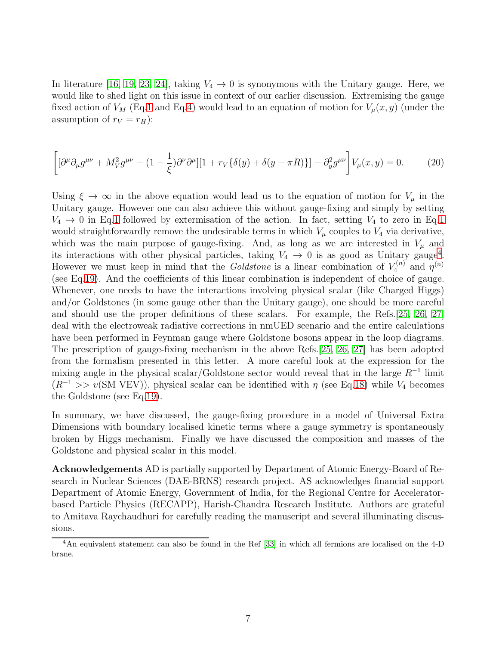In literature [\[16,](#page-7-15) [19,](#page-8-0) [23,](#page-8-4) [24\]](#page-8-5), taking  $V_4 \rightarrow 0$  is synonymous with the Unitary gauge. Here, we would like to shed light on this issue in context of our earlier discussion. Extremising the gauge fixed action of  $V_M$  (Eq[.1](#page-1-0) and Eq[.4\)](#page-2-1) would lead to an equation of motion for  $V_\mu(x, y)$  (under the assumption of  $r_V = r_H$ ):

$$
\left[ \left[ \partial^{\mu} \partial_{\mu} g^{\mu \nu} + M_{V}^{2} g^{\mu \nu} - (1 - \frac{1}{\xi}) \partial^{\nu} \partial^{\mu} \right] \left[ 1 + r_{V} \{ \delta(y) + \delta(y - \pi R) \} \right] - \partial_{y}^{2} g^{\mu \nu} \right] V_{\mu}(x, y) = 0. \tag{20}
$$

Using  $\xi \to \infty$  in the above equation would lead us to the equation of motion for  $V_\mu$  in the Unitary gauge. However one can also achieve this without gauge-fixing and simply by setting  $V_4 \rightarrow 0$  in Eq[.1](#page-1-0) followed by extermisation of the action. In fact, setting  $V_4$  to zero in Eq.1 would straightforwardly remove the undesirable terms in which  $V_{\mu}$  couples to  $V_4$  via derivative, which was the main purpose of gauge-fixing. And, as long as we are interested in  $V_\mu$  and its interactions with other physical particles, taking  $V_4 \rightarrow 0$  $V_4 \rightarrow 0$  $V_4 \rightarrow 0$  is as good as Unitary gauge<sup>4</sup>. However we must keep in mind that the Goldstone is a linear combination of  $V_4^{(n)}$  $\eta^{(n)}$  and  $\eta^{(n)}$ (see Eq[.19\)](#page-5-1). And the coefficients of this linear combination is independent of choice of gauge. Whenever, one needs to have the interactions involving physical scalar (like Charged Higgs) and/or Goldstones (in some gauge other than the Unitary gauge), one should be more careful and should use the proper definitions of these scalars. For example, the Refs.[\[25,](#page-8-6) [26,](#page-8-7) [27\]](#page-8-8) deal with the electroweak radiative corrections in nmUED scenario and the entire calculations have been performed in Feynman gauge where Goldstone bosons appear in the loop diagrams. The prescription of gauge-fixing mechanism in the above Refs.[\[25,](#page-8-6) [26,](#page-8-7) [27\]](#page-8-8) has been adopted from the formalism presented in this letter. A more careful look at the expression for the mixing angle in the physical scalar/Goldstone sector would reveal that in the large  $R^{-1}$  limit  $(R^{-1} >> v(SM VEV))$ , physical scalar can be identified with  $\eta$  (see Eq[.18\)](#page-5-2) while  $V_4$  becomes the Goldstone (see Eq[.19\)](#page-5-1).

In summary, we have discussed, the gauge-fixing procedure in a model of Universal Extra Dimensions with boundary localised kinetic terms where a gauge symmetry is spontaneously broken by Higgs mechanism. Finally we have discussed the composition and masses of the Goldstone and physical scalar in this model.

Acknowledgements AD is partially supported by Department of Atomic Energy-Board of Research in Nuclear Sciences (DAE-BRNS) research project. AS acknowledges financial support Department of Atomic Energy, Government of India, for the Regional Centre for Acceleratorbased Particle Physics (RECAPP), Harish-Chandra Research Institute. Authors are grateful to Amitava Raychaudhuri for carefully reading the manuscript and several illuminating discussions.

<span id="page-6-0"></span><sup>4</sup>An equivalent statement can also be found in the Ref [\[33\]](#page-8-14) in which all fermions are localised on the 4-D brane.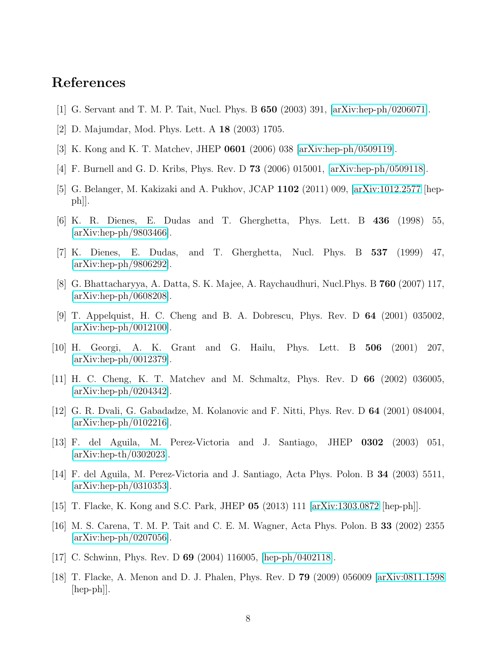## <span id="page-7-0"></span>References

- <span id="page-7-1"></span>[1] G. Servant and T. M. P. Tait, Nucl. Phys. B 650 (2003) 391, [\[arXiv:hep-ph/0206071\]](http://arxiv.org/abs/hep-ph/0206071).
- <span id="page-7-2"></span>[2] D. Majumdar, Mod. Phys. Lett. A 18 (2003) 1705.
- <span id="page-7-3"></span>[3] K. Kong and K. T. Matchev, JHEP 0601 (2006) 038 [\[arXiv:hep-ph/0509119\]](http://arxiv.org/abs/hep-ph/0509119).
- <span id="page-7-4"></span>[4] F. Burnell and G. D. Kribs, Phys. Rev. D 73 (2006) 015001, [\[arXiv:hep-ph/0509118\]](http://arxiv.org/abs/hep-ph/0509118).
- <span id="page-7-5"></span>[5] G. Belanger, M. Kakizaki and A. Pukhov, JCAP 1102 (2011) 009, [\[arXiv:1012.2577](http://arxiv.org/abs/1012.2577) [hepph]].
- <span id="page-7-6"></span>[6] K. R. Dienes, E. Dudas and T. Gherghetta, Phys. Lett. B 436 (1998) 55, [\[arXiv:hep-ph/9803466\]](http://arxiv.org/abs/hep-ph/9803466).
- <span id="page-7-7"></span>[7] K. Dienes, E. Dudas, and T. Gherghetta, Nucl. Phys. B 537 (1999) 47, [\[arXiv:hep-ph/9806292\]](http://arxiv.org/abs/hep-ph/9806292).
- <span id="page-7-8"></span>[8] G. Bhattacharyya, A. Datta, S. K. Majee, A. Raychaudhuri, Nucl.Phys. B 760 (2007) 117, [\[arXiv:hep-ph/0608208\]](http://arxiv.org/abs/hep-ph/0608208).
- [9] T. Appelquist, H. C. Cheng and B. A. Dobrescu, Phys. Rev. D 64 (2001) 035002, [\[arXiv:hep-ph/0012100\]](http://arxiv.org/abs/hep-ph/0012100).
- <span id="page-7-10"></span><span id="page-7-9"></span>[10] H. Georgi, A. K. Grant and G. Hailu, Phys. Lett. B 506 (2001) 207, [\[arXiv:hep-ph/0012379\]](http://arxiv.org/abs/hep-ph/0012379).
- [11] H. C. Cheng, K. T. Matchev and M. Schmaltz, Phys. Rev. D 66 (2002) 036005, [\[arXiv:hep-ph/0204342\]](http://arxiv.org/abs/hep-ph/0204342).
- <span id="page-7-11"></span>[12] G. R. Dvali, G. Gabadadze, M. Kolanovic and F. Nitti, Phys. Rev. D 64 (2001) 084004, [\[arXiv:hep-ph/0102216\]](http://arxiv.org/abs/hep-ph/0102216).
- <span id="page-7-12"></span>[13] F. del Aguila, M. Perez-Victoria and J. Santiago, JHEP 0302 (2003) 051, [\[arXiv:hep-th/0302023\]](http://arxiv.org/abs/hep-th/0302023).
- <span id="page-7-13"></span>[14] F. del Aguila, M. Perez-Victoria and J. Santiago, Acta Phys. Polon. B 34 (2003) 5511, [\[arXiv:hep-ph/0310353\]](http://arxiv.org/abs/hep-ph/0310353).
- <span id="page-7-15"></span><span id="page-7-14"></span>[15] T. Flacke, K. Kong and S.C. Park, JHEP 05 (2013) 111 [\[arXiv:1303.0872](http://arxiv.org/abs/1303.0872) [hep-ph]].
- [16] M. S. Carena, T. M. P. Tait and C. E. M. Wagner, Acta Phys. Polon. B 33 (2002) 2355 [\[arXiv:hep-ph/0207056\]](http://arxiv.org/abs/hep-ph/0207056).
- <span id="page-7-17"></span><span id="page-7-16"></span>[17] C. Schwinn, Phys. Rev. D 69 (2004) 116005, [\[hep-ph/0402118\]](http://arxiv.org/abs/hep-ph/0402118).
- [18] T. Flacke, A. Menon and D. J. Phalen, Phys. Rev. D 79 (2009) 056009 [\[arXiv:0811.1598](http://arxiv.org/abs/0811.1598) [hep-ph]].